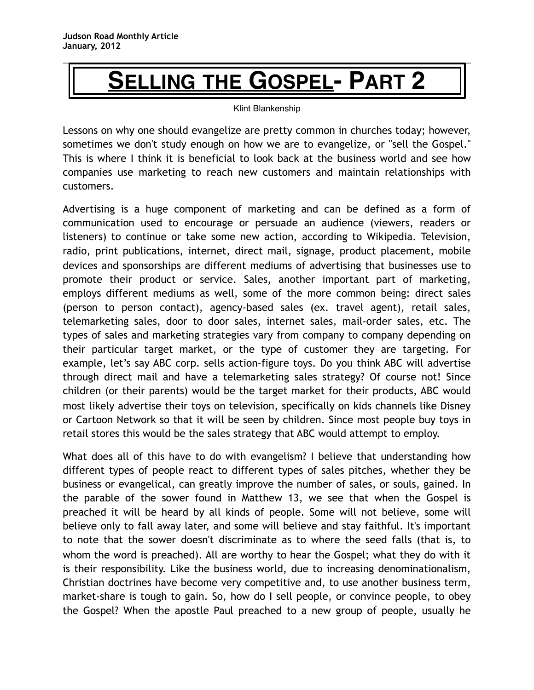## **SELLING THE GOSPEL- PART 2**

## Klint Blankenship

Lessons on why one should evangelize are pretty common in churches today; however, sometimes we don't study enough on how we are to evangelize, or "sell the Gospel." This is where I think it is beneficial to look back at the business world and see how companies use marketing to reach new customers and maintain relationships with customers.

Advertising is a huge component of marketing and can be defined as a form of communication used to encourage or persuade an audience (viewers, readers or listeners) to continue or take some new action, according to Wikipedia. Television, radio, print publications, internet, direct mail, signage, product placement, mobile devices and sponsorships are different mediums of advertising that businesses use to promote their product or service. Sales, another important part of marketing, employs different mediums as well, some of the more common being: direct sales (person to person contact), agency-based sales (ex. travel agent), retail sales, telemarketing sales, door to door sales, internet sales, mail-order sales, etc. The types of sales and marketing strategies vary from company to company depending on their particular target market, or the type of customer they are targeting. For example, let's say ABC corp. sells action-figure toys. Do you think ABC will advertise through direct mail and have a telemarketing sales strategy? Of course not! Since children (or their parents) would be the target market for their products, ABC would most likely advertise their toys on television, specifically on kids channels like Disney or Cartoon Network so that it will be seen by children. Since most people buy toys in retail stores this would be the sales strategy that ABC would attempt to employ.

What does all of this have to do with evangelism? I believe that understanding how different types of people react to different types of sales pitches, whether they be business or evangelical, can greatly improve the number of sales, or souls, gained. In the parable of the sower found in Matthew 13, we see that when the Gospel is preached it will be heard by all kinds of people. Some will not believe, some will believe only to fall away later, and some will believe and stay faithful. It's important to note that the sower doesn't discriminate as to where the seed falls (that is, to whom the word is preached). All are worthy to hear the Gospel; what they do with it is their responsibility. Like the business world, due to increasing denominationalism, Christian doctrines have become very competitive and, to use another business term, market-share is tough to gain. So, how do I sell people, or convince people, to obey the Gospel? When the apostle Paul preached to a new group of people, usually he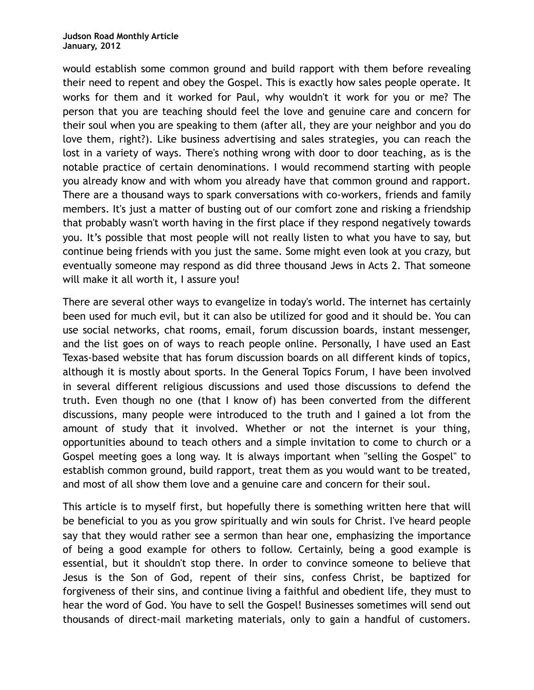would establish some common ground and build rapport with them before revealing their need to repent and obey the Gospel. This is exactly how sales people operate. It works for them and it worked for Paul, why wouldn't it work for you or me? The person that you are teaching should feel the love and genuine care and concern for their soul when you are speaking to them (after all, they are your neighbor and you do love them, right?). Like business advertising and sales strategies, you can reach the lost in a variety of ways. There's nothing wrong with door to door teaching, as is the notable practice of certain denominations. I would recommend starting with people you already know and with whom you already have that common ground and rapport. There are a thousand ways to spark conversations with co-workers, friends and family members. It's just a matter of busting out of our comfort zone and risking a friendship that probably wasn't worth having in the first place if they respond negatively towards you. It's possible that most people will not really listen to what you have to say, but continue being friends with you just the same. Some might even look at you crazy, but eventually someone may respond as did three thousand Jews in Acts 2. That someone will make it all worth it, I assure you!

There are several other ways to evangelize in today's world. The internet has certainly been used for much evil, but it can also be utilized for good and it should be. You can use social networks, chat rooms, email, forum discussion boards, instant messenger, and the list goes on of ways to reach people online. Personally, I have used an East Texas-based website that has forum discussion boards on all different kinds of topics, although it is mostly about sports. In the General Topics Forum, I have been involved in several different religious discussions and used those discussions to defend the truth. Even though no one (that I know of) has been converted from the different discussions, many people were introduced to the truth and I gained a lot from the amount of study that it involved. Whether or not the internet is your thing, opportunities abound to teach others and a simple invitation to come to church or a Gospel meeting goes a long way. It is always important when "selling the Gospel" to establish common ground, build rapport, treat them as you would want to be treated, and most of all show them love and a genuine care and concern for their soul.

This article is to myself first, but hopefully there is something written here that will be beneficial to you as you grow spiritually and win souls for Christ. I've heard people say that they would rather see a sermon than hear one, emphasizing the importance of being a good example for others to follow. Certainly, being a good example is essential, but it shouldn't stop there. In order to convince someone to believe that Jesus is the Son of God, repent of their sins, confess Christ, be baptized for forgiveness of their sins, and continue living a faithful and obedient life, they must to hear the word of God. You have to sell the Gospel! Businesses sometimes will send out thousands of direct-mail marketing materials, only to gain a handful of customers.